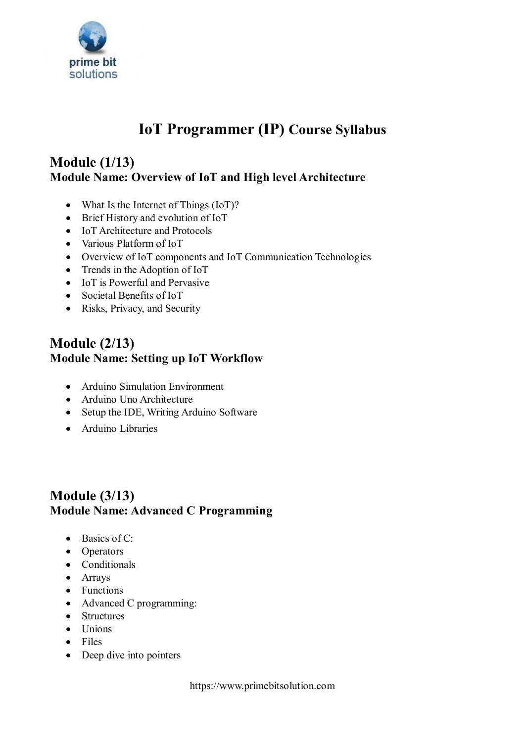

# **IoT Programmer (IP) Course Syllabus**

# **Module (1/13) Module Name: Overview of IoT and High level Architecture**

- What Is the Internet of Things (IoT)?
- Brief History and evolution of IoT
- IoT Architecture and Protocols
- Various Platform of IoT
- Overview of IoT components and IoT Communication Technologies
- Trends in the Adoption of IoT
- IoT is Powerful and Pervasive
- Societal Benefits of IoT
- Risks, Privacy, and Security

### **Module (2/13) Module Name: Setting up IoT Workflow**

- Arduino Simulation Environment
- Arduino Uno Architecture
- Setup the IDE, Writing Arduino Software
- Arduino Libraries

# **Module (3/13) Module Name: Advanced C Programming**

- $\bullet$  Basics of C:
- Operators
- Conditionals
- Arrays
- Functions
- Advanced C programming:
- Structures
- $\bullet$  Unions
- $\bullet$  Files
- Deep dive into pointers

https://www.primebitsolution.com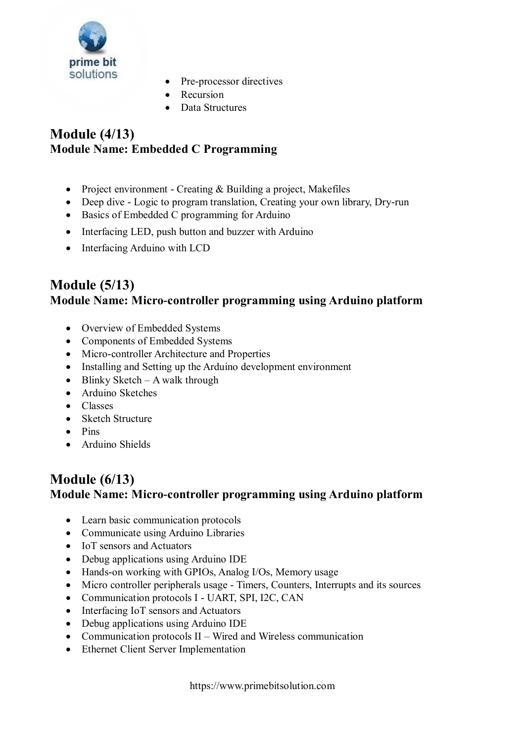

- Pre-processor directives
- Recursion
- Data Structures

#### **Module (4/13) Module Name: Embedded C Programming**

- Project environment Creating & Building a project, Makefiles
- Deep dive Logic to program translation, Creating your own library, Dry-run
- Basics of Embedded C programming for Arduino
- Interfacing LED, push button and buzzer with Arduino
- Interfacing Arduino with LCD

# **Module (5/13) Module Name: Micro-controller programming using Arduino platform**

- Overview of Embedded Systems
- Components of Embedded Systems
- Micro-controller Architecture and Properties
- Installing and Setting up the Arduino development environment
- $\bullet$  Blinky Sketch A walk through
- Arduino Sketches
- Classes
- Sketch Structure
- $\bullet$  Pine
- Arduino Shields

#### **Module (6/13) Module Name: Micro-controller programming using Arduino platform**

- Learn basic communication protocols
- Communicate using Arduino Libraries
- IoT sensors and Actuators
- Debug applications using Arduino IDE
- Hands-on working with GPIOs, Analog I/Os, Memory usage
- Micro controller peripherals usage Timers, Counters, Interrupts and its sources
- Communication protocols I UART, SPI, I2C, CAN
- Interfacing IoT sensors and Actuators
- Debug applications using Arduino IDE
- Communication protocols  $II$  Wired and Wireless communication
- Ethernet Client Server Implementation

https://www.primebitsolution.com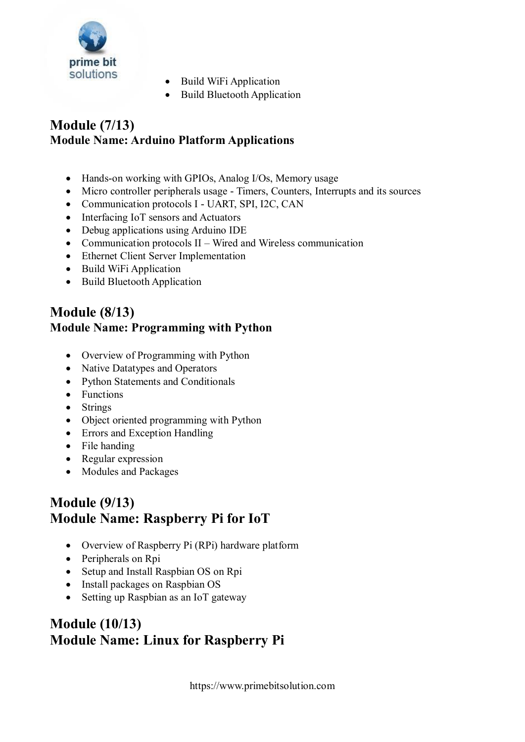

- Build WiFi Application
- Build Bluetooth Application

# **Module (7/13) Module Name: Arduino Platform Applications**

- Hands-on working with GPIOs, Analog I/Os, Memory usage
- Micro controller peripherals usage Timers, Counters, Interrupts and its sources
- Communication protocols I UART, SPI, I2C, CAN
- Interfacing IoT sensors and Actuators
- Debug applications using Arduino IDE
- Communication protocols  $II$  Wired and Wireless communication
- Ethernet Client Server Implementation
- Build WiFi Application
- Build Bluetooth Application

#### **Module (8/13) Module Name: Programming with Python**

- Overview of Programming with Python
- Native Datatypes and Operators
- Python Statements and Conditionals
- Functions
- Strings
- Object oriented programming with Python
- Errors and Exception Handling
- File handing
- Regular expression
- Modules and Packages

# **Module (9/13) Module Name: Raspberry Pi for IoT**

- Overview of Raspberry Pi (RPi) hardware platform
- Peripherals on Rpi
- Setup and Install Raspbian OS on Rpi
- Install packages on Raspbian OS
- Setting up Raspbian as an IoT gateway

# **Module (10/13) Module Name: Linux for Raspberry Pi**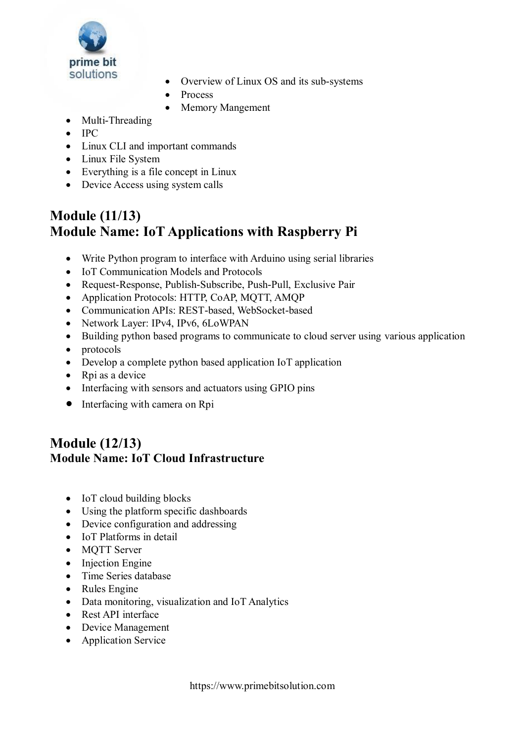

- Overview of Linux OS and its sub-systems
- Process
- Memory Mangement
- Multi-Threading
- $\bullet$  IPC
- Linux CLI and important commands
- Linux File System
- Everything is a file concept in Linux
- Device Access using system calls

# **Module (11/13) Module Name: IoT Applications with Raspberry Pi**

- Write Python program to interface with Arduino using serial libraries
- IoT Communication Models and Protocols
- Request-Response, Publish-Subscribe, Push-Pull, Exclusive Pair
- Application Protocols: HTTP, CoAP, MQTT, AMQP
- Communication APIs: REST-based, WebSocket-based
- Network Layer: IPv4, IPv6, 6LoWPAN
- Building python based programs to communicate to cloud server using various application
- protocols
- Develop a complete python based application IoT application
- Rpi as a device
- Interfacing with sensors and actuators using GPIO pins
- Interfacing with camera on Rpi

# **Module (12/13) Module Name: IoT Cloud Infrastructure**

- IoT cloud building blocks
- Using the platform specific dashboards
- Device configuration and addressing
- IoT Platforms in detail
- MQTT Server
- Injection Engine
- Time Series database
- Rules Engine
- Data monitoring, visualization and IoT Analytics
- Rest API interface
- Device Management
- Application Service